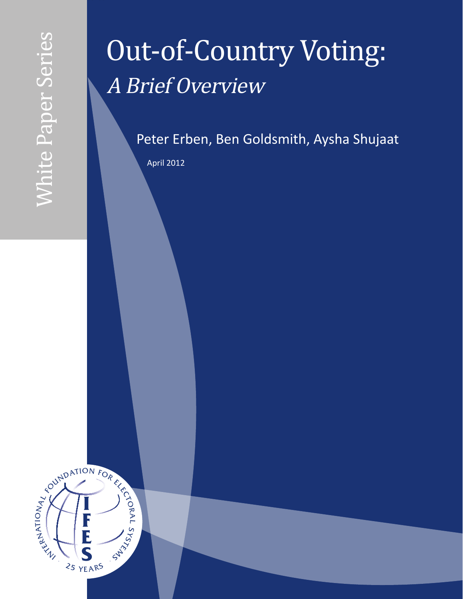# Out-of-Country Voting: A Brief Overview

Peter Erben, Ben Goldsmith, Aysha Shujaat

April 2012

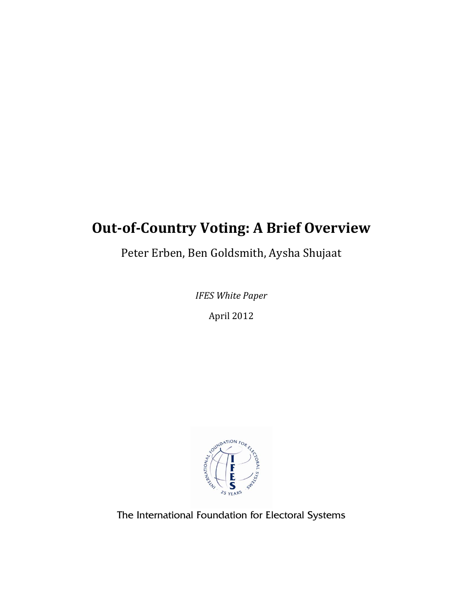# **Out-of-Country Voting: A Brief Overview**

Peter Erben, Ben Goldsmith, Aysha Shujaat

*IFES White Paper*

April 2012



The International Foundation for Electoral Systems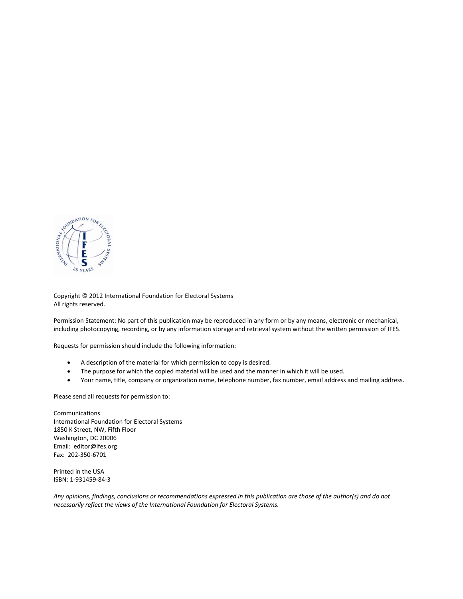

Copyright © 2012 International Foundation for Electoral Systems All rights reserved.

Permission Statement: No part of this publication may be reproduced in any form or by any means, electronic or mechanical, including photocopying, recording, or by any information storage and retrieval system without the written permission of IFES.

Requests for permission should include the following information:

- A description of the material for which permission to copy is desired.
- The purpose for which the copied material will be used and the manner in which it will be used.
- Your name, title, company or organization name, telephone number, fax number, email address and mailing address.

Please send all requests for permission to:

**Communications** International Foundation for Electoral Systems 1850 K Street, NW, Fifth Floor Washington, DC 20006 Email: editor@ifes.org Fax: 202-350-6701

Printed in the USA ISBN: 1-931459-84-3

*Any opinions, findings, conclusions or recommendations expressed in this publication are those of the author(s) and do not necessarily reflect the views of the International Foundation for Electoral Systems.*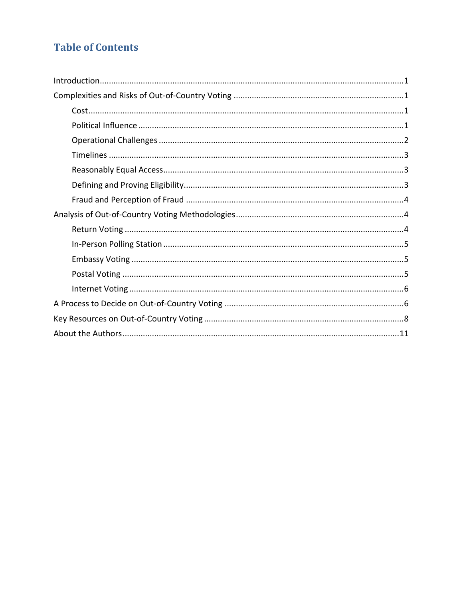# **Table of Contents**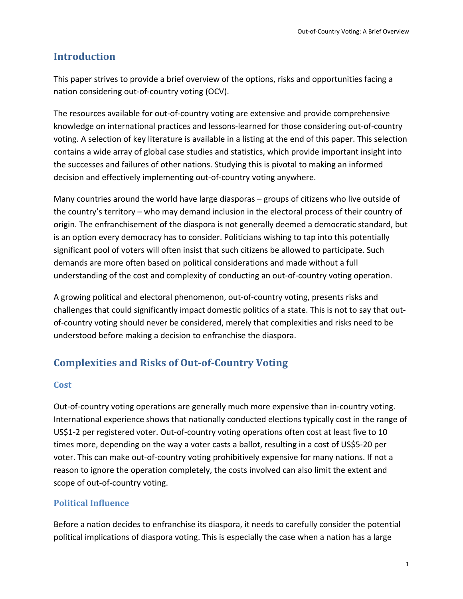### **Introduction**

This paper strives to provide a brief overview of the options, risks and opportunities facing a nation considering out‐of‐country voting (OCV).

The resources available for out‐of‐country voting are extensive and provide comprehensive knowledge on international practices and lessons‐learned for those considering out‐of‐country voting. A selection of key literature is available in a listing at the end of this paper. This selection contains a wide array of global case studies and statistics, which provide important insight into the successes and failures of other nations. Studying this is pivotal to making an informed decision and effectively implementing out‐of‐country voting anywhere.

Many countries around the world have large diasporas – groups of citizens who live outside of the country's territory – who may demand inclusion in the electoral process of their country of origin. The enfranchisement of the diaspora is not generally deemed a democratic standard, but is an option every democracy has to consider. Politicians wishing to tap into this potentially significant pool of voters will often insist that such citizens be allowed to participate. Such demands are more often based on political considerations and made without a full understanding of the cost and complexity of conducting an out‐of‐country voting operation.

A growing political and electoral phenomenon, out‐of‐country voting, presents risks and challenges that could significantly impact domestic politics of a state. This is not to say that out‐ of-country voting should never be considered, merely that complexities and risks need to be understood before making a decision to enfranchise the diaspora.

# **Complexities and Risks of Out‐of‐Country Voting**

#### **Cost**

Out-of-country voting operations are generally much more expensive than in-country voting. International experience shows that nationally conducted elections typically cost in the range of US\$1‐2 per registered voter. Out‐of‐country voting operations often cost at least five to 10 times more, depending on the way a voter casts a ballot, resulting in a cost of US\$5-20 per voter. This can make out-of-country voting prohibitively expensive for many nations. If not a reason to ignore the operation completely, the costs involved can also limit the extent and scope of out‐of‐country voting.

#### **Political Influence**

Before a nation decides to enfranchise its diaspora, it needs to carefully consider the potential political implications of diaspora voting. This is especially the case when a nation has a large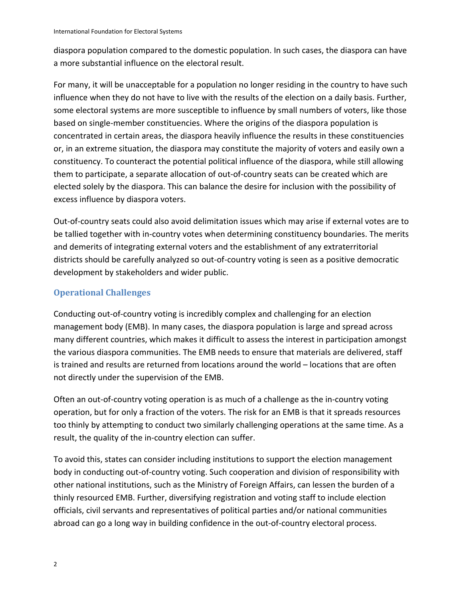diaspora population compared to the domestic population. In such cases, the diaspora can have a more substantial influence on the electoral result.

For many, it will be unacceptable for a population no longer residing in the country to have such influence when they do not have to live with the results of the election on a daily basis. Further, some electoral systems are more susceptible to influence by small numbers of voters, like those based on single‐member constituencies. Where the origins of the diaspora population is concentrated in certain areas, the diaspora heavily influence the results in these constituencies or, in an extreme situation, the diaspora may constitute the majority of voters and easily own a constituency. To counteract the potential political influence of the diaspora, while still allowing them to participate, a separate allocation of out‐of‐country seats can be created which are elected solely by the diaspora. This can balance the desire for inclusion with the possibility of excess influence by diaspora voters.

Out‐of‐country seats could also avoid delimitation issues which may arise if external votes are to be tallied together with in-country votes when determining constituency boundaries. The merits and demerits of integrating external voters and the establishment of any extraterritorial districts should be carefully analyzed so out‐of‐country voting is seen as a positive democratic development by stakeholders and wider public.

#### **Operational Challenges**

Conducting out‐of‐country voting is incredibly complex and challenging for an election management body (EMB). In many cases, the diaspora population is large and spread across many different countries, which makes it difficult to assess the interest in participation amongst the various diaspora communities. The EMB needs to ensure that materials are delivered, staff is trained and results are returned from locations around the world – locations that are often not directly under the supervision of the EMB.

Often an out‐of‐country voting operation is as much of a challenge as the in‐country voting operation, but for only a fraction of the voters. The risk for an EMB is that it spreads resources too thinly by attempting to conduct two similarly challenging operations at the same time. As a result, the quality of the in‐country election can suffer.

To avoid this, states can consider including institutions to support the election management body in conducting out-of-country voting. Such cooperation and division of responsibility with other national institutions, such as the Ministry of Foreign Affairs, can lessen the burden of a thinly resourced EMB. Further, diversifying registration and voting staff to include election officials, civil servants and representatives of political parties and/or national communities abroad can go a long way in building confidence in the out-of-country electoral process.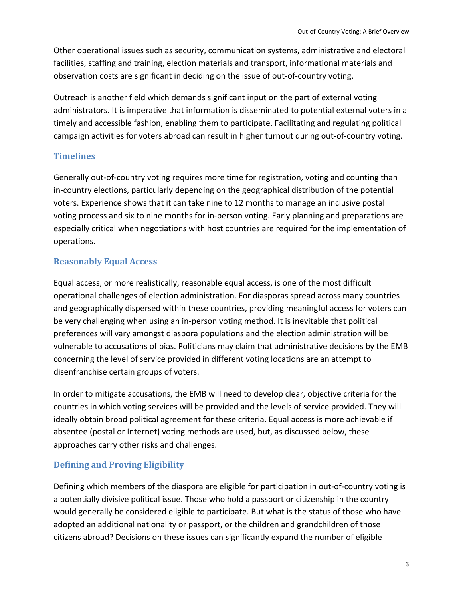Other operational issues such as security, communication systems, administrative and electoral facilities, staffing and training, election materials and transport, informational materials and observation costs are significant in deciding on the issue of out‐of‐country voting.

Outreach is another field which demands significant input on the part of external voting administrators. It is imperative that information is disseminated to potential external voters in a timely and accessible fashion, enabling them to participate. Facilitating and regulating political campaign activities for voters abroad can result in higher turnout during out‐of‐country voting.

#### **Timelines**

Generally out‐of‐country voting requires more time for registration, voting and counting than in-country elections, particularly depending on the geographical distribution of the potential voters. Experience shows that it can take nine to 12 months to manage an inclusive postal voting process and six to nine months for in‐person voting. Early planning and preparations are especially critical when negotiations with host countries are required for the implementation of operations.

#### **Reasonably Equal Access**

Equal access, or more realistically, reasonable equal access, is one of the most difficult operational challenges of election administration. For diasporas spread across many countries and geographically dispersed within these countries, providing meaningful access for voters can be very challenging when using an in‐person voting method. It is inevitable that political preferences will vary amongst diaspora populations and the election administration will be vulnerable to accusations of bias. Politicians may claim that administrative decisions by the EMB concerning the level of service provided in different voting locations are an attempt to disenfranchise certain groups of voters.

In order to mitigate accusations, the EMB will need to develop clear, objective criteria for the countries in which voting services will be provided and the levels of service provided. They will ideally obtain broad political agreement for these criteria. Equal access is more achievable if absentee (postal or Internet) voting methods are used, but, as discussed below, these approaches carry other risks and challenges.

## **Defining and Proving Eligibility**

Defining which members of the diaspora are eligible for participation in out‐of‐country voting is a potentially divisive political issue. Those who hold a passport or citizenship in the country would generally be considered eligible to participate. But what is the status of those who have adopted an additional nationality or passport, or the children and grandchildren of those citizens abroad? Decisions on these issues can significantly expand the number of eligible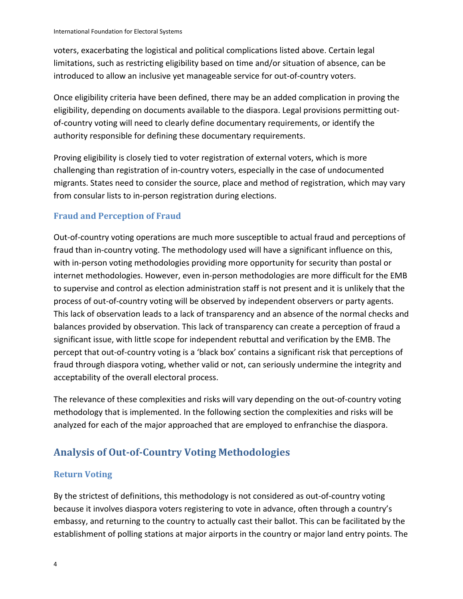voters, exacerbating the logistical and political complications listed above. Certain legal limitations, such as restricting eligibility based on time and/or situation of absence, can be introduced to allow an inclusive yet manageable service for out‐of‐country voters.

Once eligibility criteria have been defined, there may be an added complication in proving the eligibility, depending on documents available to the diaspora. Legal provisions permitting out‐ of-country voting will need to clearly define documentary requirements, or identify the authority responsible for defining these documentary requirements.

Proving eligibility is closely tied to voter registration of external voters, which is more challenging than registration of in‐country voters, especially in the case of undocumented migrants. States need to consider the source, place and method of registration, which may vary from consular lists to in-person registration during elections.

#### **Fraud and Perception of Fraud**

Out‐of‐country voting operations are much more susceptible to actual fraud and perceptions of fraud than in‐country voting. The methodology used will have a significant influence on this, with in-person voting methodologies providing more opportunity for security than postal or internet methodologies. However, even in‐person methodologies are more difficult for the EMB to supervise and control as election administration staff is not present and it is unlikely that the process of out‐of‐country voting will be observed by independent observers or party agents. This lack of observation leads to a lack of transparency and an absence of the normal checks and balances provided by observation. This lack of transparency can create a perception of fraud a significant issue, with little scope for independent rebuttal and verification by the EMB. The percept that out-of-country voting is a 'black box' contains a significant risk that perceptions of fraud through diaspora voting, whether valid or not, can seriously undermine the integrity and acceptability of the overall electoral process.

The relevance of these complexities and risks will vary depending on the out‐of‐country voting methodology that is implemented. In the following section the complexities and risks will be analyzed for each of the major approached that are employed to enfranchise the diaspora.

# **Analysis of Out‐of‐Country Voting Methodologies**

#### **Return Voting**

By the strictest of definitions, this methodology is not considered as out‐of‐country voting because it involves diaspora voters registering to vote in advance, often through a country's embassy, and returning to the country to actually cast their ballot. This can be facilitated by the establishment of polling stations at major airports in the country or major land entry points. The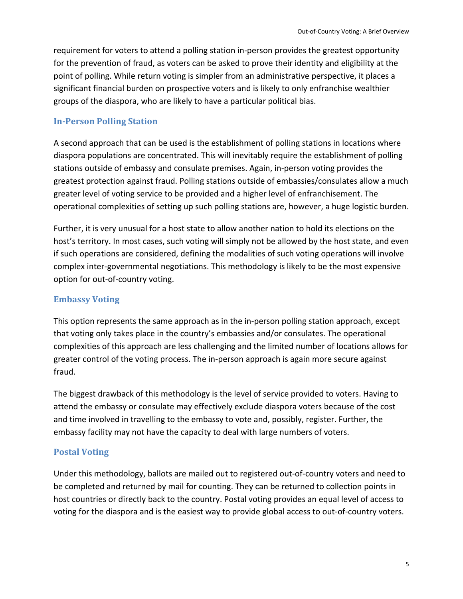requirement for voters to attend a polling station in‐person provides the greatest opportunity for the prevention of fraud, as voters can be asked to prove their identity and eligibility at the point of polling. While return voting is simpler from an administrative perspective, it places a significant financial burden on prospective voters and is likely to only enfranchise wealthier groups of the diaspora, who are likely to have a particular political bias.

#### **In‐Person Polling Station**

A second approach that can be used is the establishment of polling stations in locations where diaspora populations are concentrated. This will inevitably require the establishment of polling stations outside of embassy and consulate premises. Again, in‐person voting provides the greatest protection against fraud. Polling stations outside of embassies/consulates allow a much greater level of voting service to be provided and a higher level of enfranchisement. The operational complexities of setting up such polling stations are, however, a huge logistic burden.

Further, it is very unusual for a host state to allow another nation to hold its elections on the host's territory. In most cases, such voting will simply not be allowed by the host state, and even if such operations are considered, defining the modalities of such voting operations will involve complex inter‐governmental negotiations. This methodology is likely to be the most expensive option for out‐of‐country voting.

#### **Embassy Voting**

This option represents the same approach as in the in‐person polling station approach, except that voting only takes place in the country's embassies and/or consulates. The operational complexities of this approach are less challenging and the limited number of locations allows for greater control of the voting process. The in‐person approach is again more secure against fraud.

The biggest drawback of this methodology is the level of service provided to voters. Having to attend the embassy or consulate may effectively exclude diaspora voters because of the cost and time involved in travelling to the embassy to vote and, possibly, register. Further, the embassy facility may not have the capacity to deal with large numbers of voters.

#### **Postal Voting**

Under this methodology, ballots are mailed out to registered out‐of‐country voters and need to be completed and returned by mail for counting. They can be returned to collection points in host countries or directly back to the country. Postal voting provides an equal level of access to voting for the diaspora and is the easiest way to provide global access to out‐of‐country voters.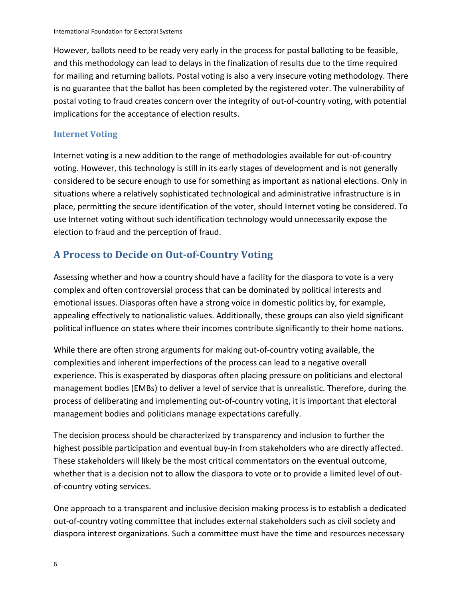However, ballots need to be ready very early in the process for postal balloting to be feasible, and this methodology can lead to delays in the finalization of results due to the time required for mailing and returning ballots. Postal voting is also a very insecure voting methodology. There is no guarantee that the ballot has been completed by the registered voter. The vulnerability of postal voting to fraud creates concern over the integrity of out‐of‐country voting, with potential implications for the acceptance of election results.

#### **Internet Voting**

Internet voting is a new addition to the range of methodologies available for out‐of‐country voting. However, this technology is still in its early stages of development and is not generally considered to be secure enough to use for something as important as national elections. Only in situations where a relatively sophisticated technological and administrative infrastructure is in place, permitting the secure identification of the voter, should Internet voting be considered. To use Internet voting without such identification technology would unnecessarily expose the election to fraud and the perception of fraud.

# **A Process to Decide on Out‐of‐Country Voting**

Assessing whether and how a country should have a facility for the diaspora to vote is a very complex and often controversial process that can be dominated by political interests and emotional issues. Diasporas often have a strong voice in domestic politics by, for example, appealing effectively to nationalistic values. Additionally, these groups can also yield significant political influence on states where their incomes contribute significantly to their home nations.

While there are often strong arguments for making out‐of‐country voting available, the complexities and inherent imperfections of the process can lead to a negative overall experience. This is exasperated by diasporas often placing pressure on politicians and electoral management bodies (EMBs) to deliver a level of service that is unrealistic. Therefore, during the process of deliberating and implementing out‐of‐country voting, it is important that electoral management bodies and politicians manage expectations carefully.

The decision process should be characterized by transparency and inclusion to further the highest possible participation and eventual buy-in from stakeholders who are directly affected. These stakeholders will likely be the most critical commentators on the eventual outcome, whether that is a decision not to allow the diaspora to vote or to provide a limited level of outof‐country voting services.

One approach to a transparent and inclusive decision making process is to establish a dedicated out‐of‐country voting committee that includes external stakeholders such as civil society and diaspora interest organizations. Such a committee must have the time and resources necessary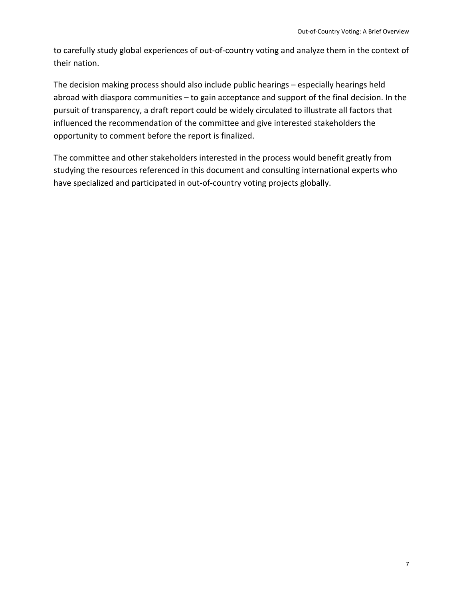to carefully study global experiences of out‐of‐country voting and analyze them in the context of their nation.

The decision making process should also include public hearings – especially hearings held abroad with diaspora communities – to gain acceptance and support of the final decision. In the pursuit of transparency, a draft report could be widely circulated to illustrate all factors that influenced the recommendation of the committee and give interested stakeholders the opportunity to comment before the report is finalized.

The committee and other stakeholders interested in the process would benefit greatly from studying the resources referenced in this document and consulting international experts who have specialized and participated in out‐of‐country voting projects globally.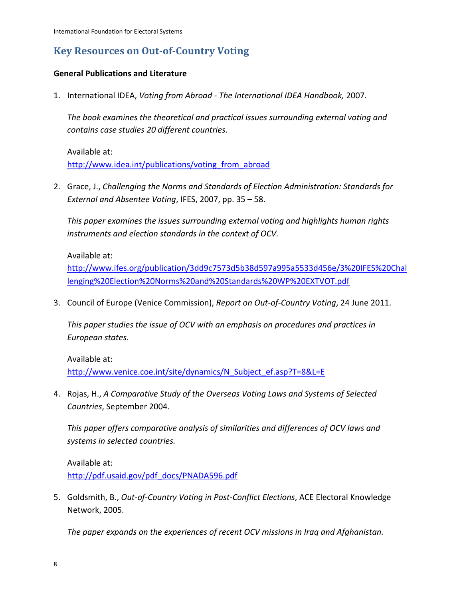# **Key Resources on Out‐of‐Country Voting**

#### **General Publications and Literature**

1. International IDEA, *Voting from Abroad ‐ The International IDEA Handbook,* 2007.

*The book examines the theoretical and practical issues surrounding external voting and contains case studies 20 different countries.*

Available at: http://www.idea.int/publications/voting\_from\_abroad

2. Grace, J., *Challenging the Norms and Standards of Election Administration: Standards for External and Absentee Voting*, IFES, 2007, pp. 35 – 58.

*This paper examines the issues surrounding external voting and highlights human rights instruments and election standards in the context of OCV.*

Available at:

http://www.ifes.org/publication/3dd9c7573d5b38d597a995a5533d456e/3%20IFES%20Chal lenging%20Election%20Norms%20and%20Standards%20WP%20EXTVOT.pdf

3. Council of Europe (Venice Commission), *Report on Out‐of‐Country Voting*, 24 June 2011.

*This paper studies the issue of OCV with an emphasis on procedures and practices in European states.*

Available at: http://www.venice.coe.int/site/dynamics/N\_Subject\_ef.asp?T=8&L=E

4. Rojas, H., *A Comparative Study of the Overseas Voting Laws and Systems of Selected Countries*, September 2004.

*This paper offers comparative analysis of similarities and differences of OCV laws and systems in selected countries.* 

Available at: http://pdf.usaid.gov/pdf\_docs/PNADA596.pdf

5. Goldsmith, B., *Out‐of‐Country Voting in Post‐Conflict Elections*, ACE Electoral Knowledge Network, 2005.

*The paper expands on the experiences of recent OCV missions in Iraq and Afghanistan.*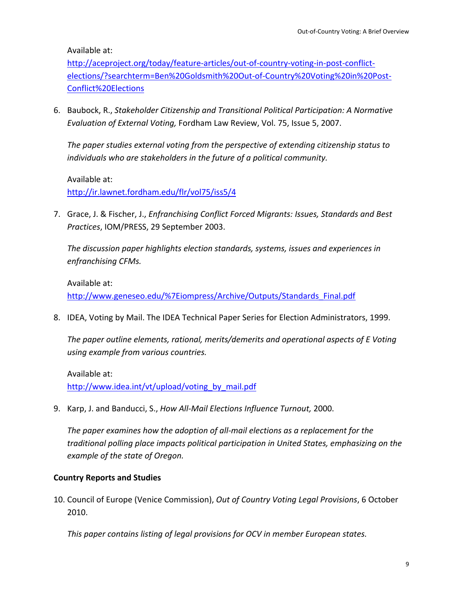Available at:

http://aceproject.org/today/feature-articles/out-of-country-voting-in-post-conflictelections/?searchterm=Ben%20Goldsmith%20Out‐of‐Country%20Voting%20in%20Post‐ Conflict%20Elections

6. Baubock, R., *Stakeholder Citizenship and Transitional Political Participation: A Normative Evaluation of External Voting,* Fordham Law Review, Vol. 75, Issue 5, 2007.

*The paper studies external voting from the perspective of extending citizenship status to individuals who are stakeholders in the future of a political community.*

Available at: http://ir.lawnet.fordham.edu/flr/vol75/iss5/4

7. Grace, J. & Fischer, J., *Enfranchising Conflict Forced Migrants: Issues, Standards and Best Practices*, IOM/PRESS, 29 September 2003.

*The discussion paper highlights election standards, systems, issues and experiences in enfranchising CFMs.*

Available at: http://www.geneseo.edu/%7Eiompress/Archive/Outputs/Standards\_Final.pdf

8. IDEA, Voting by Mail. The IDEA Technical Paper Series for Election Administrators, 1999.

*The paper outline elements, rational, merits/demerits and operational aspects of E Voting using example from various countries.*

Available at: http://www.idea.int/vt/upload/voting\_by\_mail.pdf

9. Karp, J. and Banducci, S., *How All‐Mail Elections Influence Turnout,* 2000.

*The paper examines how the adoption of all‐mail elections as a replacement for the traditional polling place impacts political participation in United States, emphasizing on the example of the state of Oregon.* 

#### **Country Reports and Studies**

10. Council of Europe (Venice Commission), *Out of Country Voting Legal Provisions*, 6 October 2010.

*This paper contains listing of legal provisions for OCV in member European states.*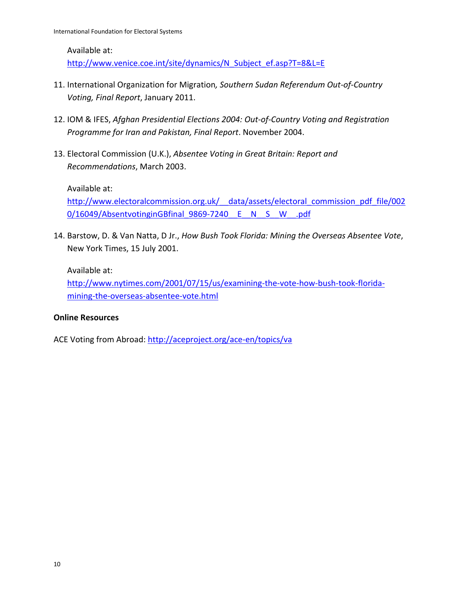#### Available at:

http://www.venice.coe.int/site/dynamics/N\_Subject\_ef.asp?T=8&L=E

- 11. International Organization for Migration*, Southern Sudan Referendum Out‐of‐Country Voting, Final Report*, January 2011.
- 12. IOM & IFES, *Afghan Presidential Elections 2004: Out‐of‐Country Voting and Registration Programme for Iran and Pakistan, Final Report*. November 2004.
- 13. Electoral Commission (U.K.), *Absentee Voting in Great Britain: Report and Recommendations*, March 2003.

Available at:

http://www.electoralcommission.org.uk/ data/assets/electoral\_commission\_pdf\_file/002 0/16049/AbsentvotinginGBfinal\_9869-7240\_\_E\_\_N\_\_S\_\_W\_\_.pdf

14. Barstow, D. & Van Natta, D Jr., *How Bush Took Florida: Mining the Overseas Absentee Vote*, New York Times, 15 July 2001.

Available at:

http://www.nytimes.com/2001/07/15/us/examining-the-vote-how-bush-took-floridamining‐the‐overseas‐absentee‐vote.html

#### **Online Resources**

ACE Voting from Abroad: http://aceproject.org/ace-en/topics/va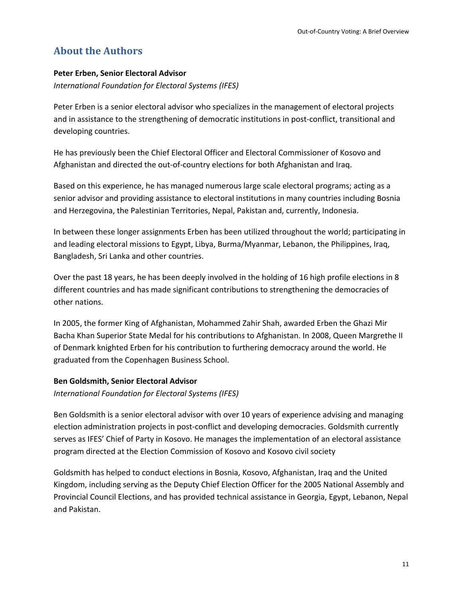# **About the Authors**

#### **Peter Erben, Senior Electoral Advisor**

*International Foundation for Electoral Systems (IFES)*

Peter Erben is a senior electoral advisor who specializes in the management of electoral projects and in assistance to the strengthening of democratic institutions in post-conflict, transitional and developing countries.

He has previously been the Chief Electoral Officer and Electoral Commissioner of Kosovo and Afghanistan and directed the out‐of‐country elections for both Afghanistan and Iraq.

Based on this experience, he has managed numerous large scale electoral programs; acting as a senior advisor and providing assistance to electoral institutions in many countries including Bosnia and Herzegovina, the Palestinian Territories, Nepal, Pakistan and, currently, Indonesia.

In between these longer assignments Erben has been utilized throughout the world; participating in and leading electoral missions to Egypt, Libya, Burma/Myanmar, Lebanon, the Philippines, Iraq, Bangladesh, Sri Lanka and other countries.

Over the past 18 years, he has been deeply involved in the holding of 16 high profile elections in 8 different countries and has made significant contributions to strengthening the democracies of other nations.

In 2005, the former King of Afghanistan, Mohammed Zahir Shah, awarded Erben the Ghazi Mir Bacha Khan Superior State Medal for his contributions to Afghanistan. In 2008, Queen Margrethe II of Denmark knighted Erben for his contribution to furthering democracy around the world. He graduated from the Copenhagen Business School.

#### **Ben Goldsmith, Senior Electoral Advisor**

*International Foundation for Electoral Systems (IFES)*

Ben Goldsmith is a senior electoral advisor with over 10 years of experience advising and managing election administration projects in post‐conflict and developing democracies. Goldsmith currently serves as IFES' Chief of Party in Kosovo. He manages the implementation of an electoral assistance program directed at the Election Commission of Kosovo and Kosovo civil society

Goldsmith has helped to conduct elections in Bosnia, Kosovo, Afghanistan, Iraq and the United Kingdom, including serving as the Deputy Chief Election Officer for the 2005 National Assembly and Provincial Council Elections, and has provided technical assistance in Georgia, Egypt, Lebanon, Nepal and Pakistan.